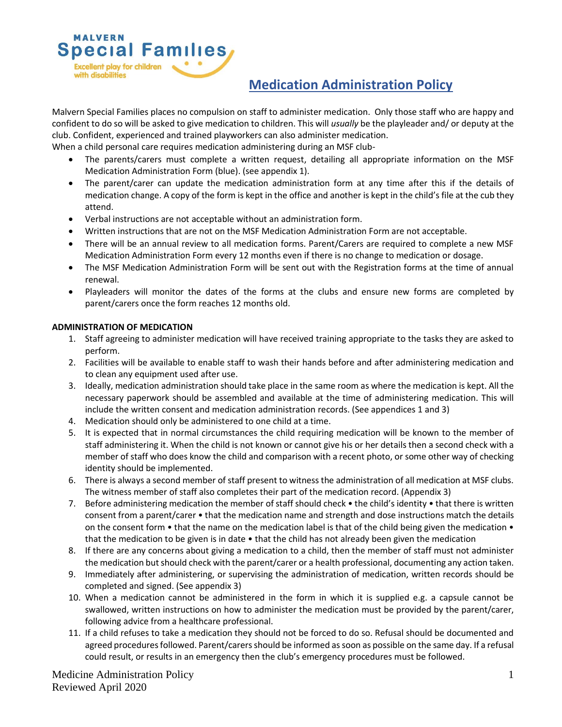

Malvern Special Families places no compulsion on staff to administer medication. Only those staff who are happy and confident to do so will be asked to give medication to children. This will *usually* be the playleader and/ or deputy at the club. Confident, experienced and trained playworkers can also administer medication.

When a child personal care requires medication administering during an MSF club-

- The parents/carers must complete a written request, detailing all appropriate information on the MSF Medication Administration Form (blue). (see appendix 1).
- The parent/carer can update the medication administration form at any time after this if the details of medication change. A copy of the form is kept in the office and another is kept in the child's file at the cub they attend.
- Verbal instructions are not acceptable without an administration form.
- Written instructions that are not on the MSF Medication Administration Form are not acceptable.
- There will be an annual review to all medication forms. Parent/Carers are required to complete a new MSF Medication Administration Form every 12 months even if there is no change to medication or dosage.
- The MSF Medication Administration Form will be sent out with the Registration forms at the time of annual renewal.
- Playleaders will monitor the dates of the forms at the clubs and ensure new forms are completed by parent/carers once the form reaches 12 months old.

#### **ADMINISTRATION OF MEDICATION**

**MALVERN** 

with disabilities

**Excellent play for children** 

**Special Families** 

- 1. Staff agreeing to administer medication will have received training appropriate to the tasks they are asked to perform.
- 2. Facilities will be available to enable staff to wash their hands before and after administering medication and to clean any equipment used after use.
- 3. Ideally, medication administration should take place in the same room as where the medication is kept. All the necessary paperwork should be assembled and available at the time of administering medication. This will include the written consent and medication administration records. (See appendices 1 and 3)
- 4. Medication should only be administered to one child at a time.
- 5. It is expected that in normal circumstances the child requiring medication will be known to the member of staff administering it. When the child is not known or cannot give his or her details then a second check with a member of staff who does know the child and comparison with a recent photo, or some other way of checking identity should be implemented.
- 6. There is always a second member of staff present to witness the administration of all medication at MSF clubs. The witness member of staff also completes their part of the medication record. (Appendix 3)
- 7. Before administering medication the member of staff should check the child's identity that there is written consent from a parent/carer • that the medication name and strength and dose instructions match the details on the consent form  $\bullet$  that the name on the medication label is that of the child being given the medication  $\bullet$ that the medication to be given is in date • that the child has not already been given the medication
- 8. If there are any concerns about giving a medication to a child, then the member of staff must not administer the medication but should check with the parent/carer or a health professional, documenting any action taken.
- 9. Immediately after administering, or supervising the administration of medication, written records should be completed and signed. (See appendix 3)
- 10. When a medication cannot be administered in the form in which it is supplied e.g. a capsule cannot be swallowed, written instructions on how to administer the medication must be provided by the parent/carer, following advice from a healthcare professional.
- 11. If a child refuses to take a medication they should not be forced to do so. Refusal should be documented and agreed procedures followed. Parent/carers should be informed as soon as possible on the same day. If a refusal could result, or results in an emergency then the club's emergency procedures must be followed.

Medicine Administration Policy Reviewed April 2020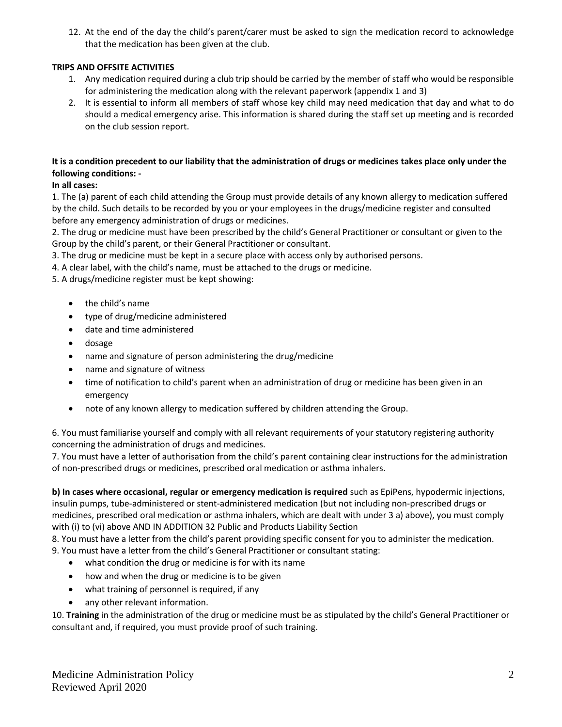12. At the end of the day the child's parent/carer must be asked to sign the medication record to acknowledge that the medication has been given at the club.

# **TRIPS AND OFFSITE ACTIVITIES**

- 1. Any medication required during a club trip should be carried by the member of staff who would be responsible for administering the medication along with the relevant paperwork (appendix 1 and 3)
- 2. It is essential to inform all members of staff whose key child may need medication that day and what to do should a medical emergency arise. This information is shared during the staff set up meeting and is recorded on the club session report.

# **It is a condition precedent to our liability that the administration of drugs or medicines takes place only under the following conditions: -**

# **In all cases:**

1. The (a) parent of each child attending the Group must provide details of any known allergy to medication suffered by the child. Such details to be recorded by you or your employees in the drugs/medicine register and consulted before any emergency administration of drugs or medicines.

2. The drug or medicine must have been prescribed by the child's General Practitioner or consultant or given to the Group by the child's parent, or their General Practitioner or consultant.

3. The drug or medicine must be kept in a secure place with access only by authorised persons.

4. A clear label, with the child's name, must be attached to the drugs or medicine.

5. A drugs/medicine register must be kept showing:

- the child's name
- type of drug/medicine administered
- date and time administered
- dosage
- name and signature of person administering the drug/medicine
- name and signature of witness
- time of notification to child's parent when an administration of drug or medicine has been given in an emergency
- note of any known allergy to medication suffered by children attending the Group.

6. You must familiarise yourself and comply with all relevant requirements of your statutory registering authority concerning the administration of drugs and medicines.

7. You must have a letter of authorisation from the child's parent containing clear instructions for the administration of non-prescribed drugs or medicines, prescribed oral medication or asthma inhalers.

**b) In cases where occasional, regular or emergency medication is required** such as EpiPens, hypodermic injections, insulin pumps, tube-administered or stent-administered medication (but not including non-prescribed drugs or medicines, prescribed oral medication or asthma inhalers, which are dealt with under 3 a) above), you must comply with (i) to (vi) above AND IN ADDITION 32 Public and Products Liability Section

8. You must have a letter from the child's parent providing specific consent for you to administer the medication.

9. You must have a letter from the child's General Practitioner or consultant stating:

- what condition the drug or medicine is for with its name
- how and when the drug or medicine is to be given
- what training of personnel is required, if any
- any other relevant information.

10. **Training** in the administration of the drug or medicine must be as stipulated by the child's General Practitioner or consultant and, if required, you must provide proof of such training.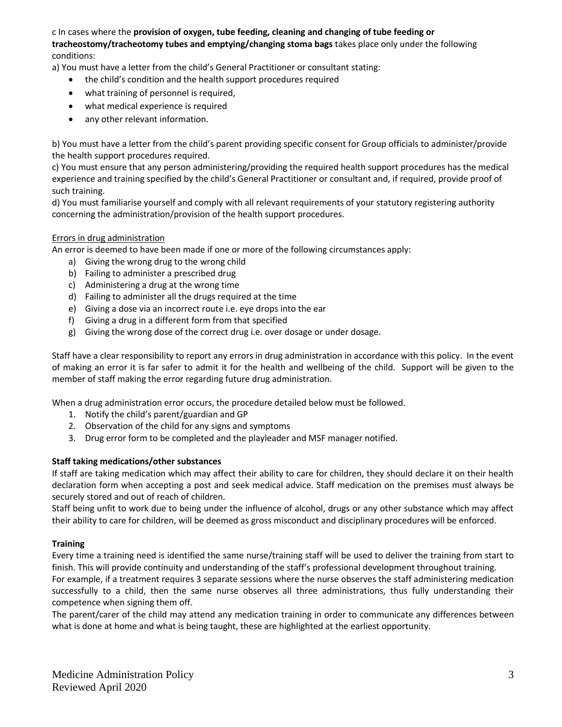c In cases where the **provision of oxygen, tube feeding, cleaning and changing of tube feeding or tracheostomy/tracheotomy tubes and emptying/changing stoma bags** takes place only under the following conditions:

a) You must have a letter from the child's General Practitioner or consultant stating:

- the child's condition and the health support procedures required
- what training of personnel is required,
- what medical experience is required
- any other relevant information.

b) You must have a letter from the child's parent providing specific consent for Group officials to administer/provide the health support procedures required.

c) You must ensure that any person administering/providing the required health support procedures has the medical experience and training specified by the child's General Practitioner or consultant and, if required, provide proof of such training.

d) You must familiarise yourself and comply with all relevant requirements of your statutory registering authority concerning the administration/provision of the health support procedures.

### Errors in drug administration

An error is deemed to have been made if one or more of the following circumstances apply:

- a) Giving the wrong drug to the wrong child
- b) Failing to administer a prescribed drug
- c) Administering a drug at the wrong time
- d) Failing to administer all the drugs required at the time
- e) Giving a dose via an incorrect route i.e. eye drops into the ear
- f) Giving a drug in a different form from that specified
- g) Giving the wrong dose of the correct drug i.e. over dosage or under dosage.

Staff have a clear responsibility to report any errors in drug administration in accordance with this policy. In the event of making an error it is far safer to admit it for the health and wellbeing of the child. Support will be given to the member of staff making the error regarding future drug administration.

When a drug administration error occurs, the procedure detailed below must be followed.

- 1. Notify the child's parent/guardian and GP
- 2. Observation of the child for any signs and symptoms
- 3. Drug error form to be completed and the playleader and MSF manager notified.

#### **Staff taking medications/other substances**

If staff are taking medication which may affect their ability to care for children, they should declare it on their health declaration form when accepting a post and seek medical advice. Staff medication on the premises must always be securely stored and out of reach of children.

Staff being unfit to work due to being under the influence of alcohol, drugs or any other substance which may affect their ability to care for children, will be deemed as gross misconduct and disciplinary procedures will be enforced.

#### **Training**

Every time a training need is identified the same nurse/training staff will be used to deliver the training from start to finish. This will provide continuity and understanding of the staff's professional development throughout training. For example, if a treatment requires 3 separate sessions where the nurse observes the staff administering medication successfully to a child, then the same nurse observes all three administrations, thus fully understanding their competence when signing them off.

The parent/carer of the child may attend any medication training in order to communicate any differences between what is done at home and what is being taught, these are highlighted at the earliest opportunity.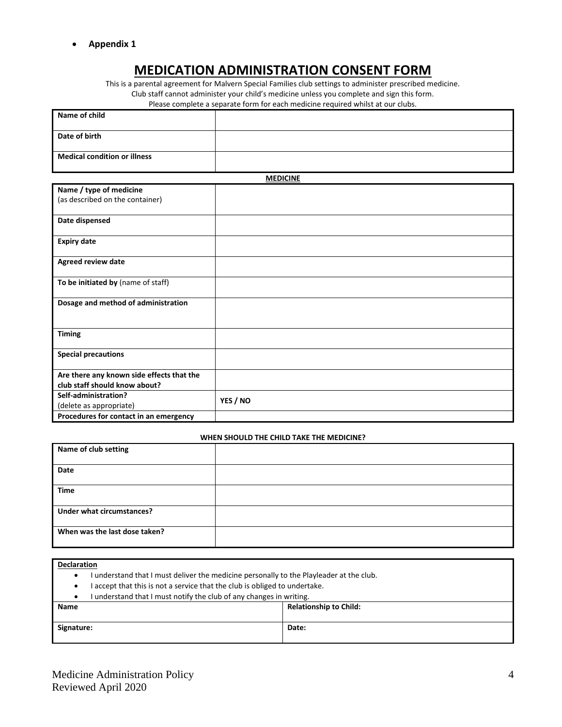• **Appendix 1**

# **MEDICATION ADMINISTRATION CONSENT FORM**

This is a parental agreement for Malvern Special Families club settings to administer prescribed medicine. Club staff cannot administer your child's medicine unless you complete and sign this form.

Please complete a separate form for each medicine required whilst at our clubs.

| Name of child                       |  |
|-------------------------------------|--|
| Date of birth                       |  |
| <b>Medical condition or illness</b> |  |

**MEDICINE**

|                                           | <b>MEDICINE</b> |
|-------------------------------------------|-----------------|
| Name / type of medicine                   |                 |
| (as described on the container)           |                 |
| Date dispensed                            |                 |
| <b>Expiry date</b>                        |                 |
| Agreed review date                        |                 |
| To be initiated by (name of staff)        |                 |
| Dosage and method of administration       |                 |
| <b>Timing</b>                             |                 |
| <b>Special precautions</b>                |                 |
| Are there any known side effects that the |                 |
| club staff should know about?             |                 |
| Self-administration?                      | YES / NO        |
| (delete as appropriate)                   |                 |
| Procedures for contact in an emergency    |                 |

#### **WHEN SHOULD THE CHILD TAKE THE MEDICINE?**

| Name of club setting          |  |
|-------------------------------|--|
| Date                          |  |
| <b>Time</b>                   |  |
| Under what circumstances?     |  |
| When was the last dose taken? |  |

- I understand that I must deliver the medicine personally to the Playleader at the club.
- I accept that this is not a service that the club is obliged to undertake.

|                                                                     | <b>International Control Abstract</b> |  |
|---------------------------------------------------------------------|---------------------------------------|--|
| I understand that I must notify the club of any changes in writing. |                                       |  |

| <b>Name</b> | <b>Relationship to Child:</b> |
|-------------|-------------------------------|
| Signature:  | Date:                         |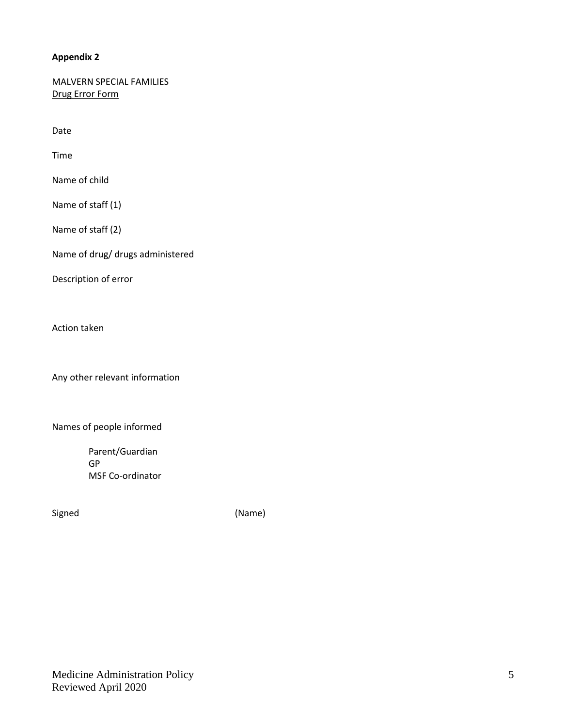# **Appendix 2**

MALVERN SPECIAL FAMILIES Drug Error Form

Date

Time

Name of child

Name of staff (1)

Name of staff (2)

Name of drug/ drugs administered

Description of error

Action taken

Any other relevant information

Names of people informed

 Parent/Guardian GP MSF Co-ordinator

Signed (Name)